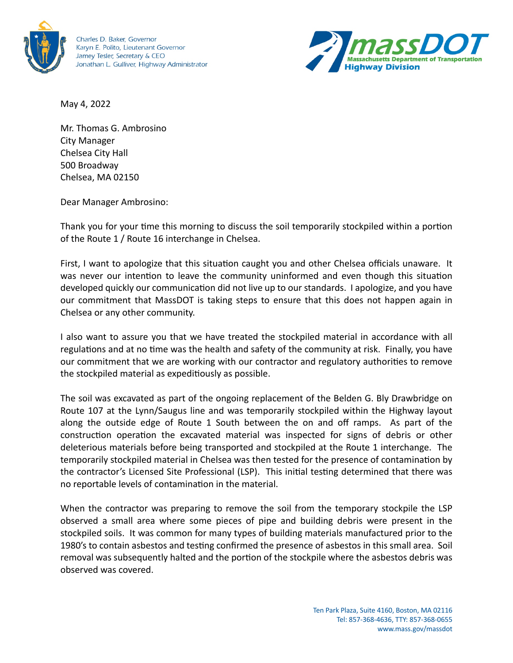

Charles D. Baker, Governor Karyn E. Polito, Lieutenant Governor Jamey Tesler, Secretary & CEO Jonathan L. Gulliver, Highway Administrator



May 4, 2022

Mr. Thomas G. Ambrosino City Manager Chelsea City Hall 500 Broadway Chelsea, MA 02150

Dear Manager Ambrosino:

Thank you for your time this morning to discuss the soil temporarily stockpiled within a portion of the Route 1 / Route 16 interchange in Chelsea.

First, I want to apologize that this situation caught you and other Chelsea officials unaware. It was never our intention to leave the community uninformed and even though this situation developed quickly our communication did not live up to our standards. I apologize, and you have our commitment that MassDOT is taking steps to ensure that this does not happen again in Chelsea or any other community.

I also want to assure you that we have treated the stockpiled material in accordance with all regulations and at no time was the health and safety of the community at risk. Finally, you have our commitment that we are working with our contractor and regulatory authorities to remove the stockpiled material as expeditiously as possible.

The soil was excavated as part of the ongoing replacement of the Belden G. Bly Drawbridge on Route 107 at the Lynn/Saugus line and was temporarily stockpiled within the Highway layout along the outside edge of Route 1 South between the on and off ramps. As part of the construction operation the excavated material was inspected for signs of debris or other deleterious materials before being transported and stockpiled at the Route 1 interchange. The temporarily stockpiled material in Chelsea was then tested for the presence of contamination by the contractor's Licensed Site Professional (LSP). This initial testing determined that there was no reportable levels of contamination in the material.

When the contractor was preparing to remove the soil from the temporary stockpile the LSP observed a small area where some pieces of pipe and building debris were present in the stockpiled soils. It was common for many types of building materials manufactured prior to the 1980's to contain asbestos and testing confirmed the presence of asbestos in this small area. Soil removal was subsequently halted and the portion of the stockpile where the asbestos debris was observed was covered.